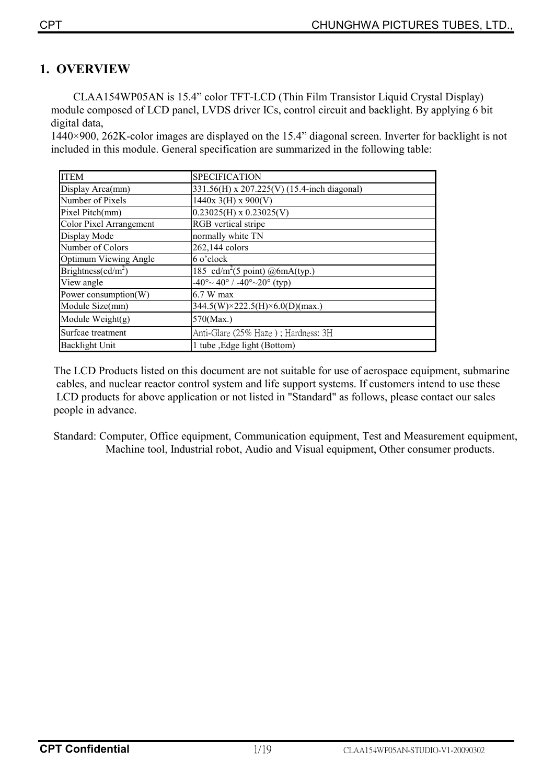# **1. OVERVIEW**

 CLAA154WP05AN is 15.4" color TFT-LCD (Thin Film Transistor Liquid Crystal Display) module composed of LCD panel, LVDS driver ICs, control circuit and backlight. By applying 6 bit digital data,

1440×900, 262K-color images are displayed on the 15.4" diagonal screen. Inverter for backlight is not included in this module. General specification are summarized in the following table:

| <b>ITEM</b>                    | <b>SPECIFICATION</b>                                      |
|--------------------------------|-----------------------------------------------------------|
| Display Area(mm)               | 331.56(H) x 207.225(V) (15.4-inch diagonal)               |
| Number of Pixels               | $1440x$ 3(H) x 900(V)                                     |
| Pixel Pitch(mm)                | $0.23025(H)$ x $0.23025(V)$                               |
| <b>Color Pixel Arrangement</b> | <b>RGB</b> vertical stripe                                |
| Display Mode                   | normally white TN                                         |
| Number of Colors               | 262,144 colors                                            |
| Optimum Viewing Angle          | 6 o'clock                                                 |
| Brightness( $cd/m2$ )          | 185 cd/m <sup>2</sup> (5 point) @6mA(typ.)                |
| View angle                     | $-40^{\circ}$ $\sim$ 40° / $-40^{\circ}$ $\sim$ 20° (typ) |
| Power consumption(W)           | 6.7 W max                                                 |
| Module Size(mm)                | $344.5(W)\times 222.5(H)\times 6.0(D)(max.)$              |
| Module Weight $(g)$            | $570$ (Max.)                                              |
| Surfcae treatment              | Anti-Glare (25% Haze); Hardness: 3H                       |
| <b>Backlight Unit</b>          | 1 tube , Edge light (Bottom)                              |

The LCD Products listed on this document are not suitable for use of aerospace equipment, submarine cables, and nuclear reactor control system and life support systems. If customers intend to use these LCD products for above application or not listed in "Standard" as follows, please contact our sales people in advance.

Standard: Computer, Office equipment, Communication equipment, Test and Measurement equipment, Machine tool, Industrial robot, Audio and Visual equipment, Other consumer products.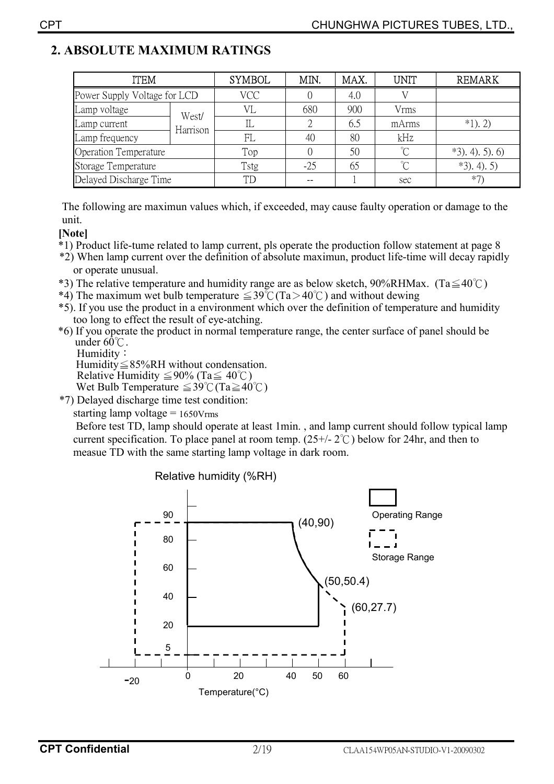# **2. ABSOLUTE MAXIMUM RATINGS**

| ITEM                         |          | <b>SYMBOL</b> | MIN.  | MAX. | UNIT  | <b>REMARK</b>     |
|------------------------------|----------|---------------|-------|------|-------|-------------------|
| Power Supply Voltage for LCD |          | VCC           |       | 4.0  |       |                   |
| Lamp voltage                 | West/    | VI.           | 680   | 900  | Vrms  |                   |
| Lamp current                 | Harrison |               |       | 6.5  | mArms | $*1)$ . 2)        |
| Lamp frequency               |          | FL            | 40    | 80   | kHz   |                   |
| Operation Temperature        |          | Top           |       | 50   | °∩    | $*3$ , 4), 5), 6) |
| Storage Temperature          |          | Tstg          | $-25$ | 65   | °∩    | $*3$ , 4), 5)     |
| Delayed Discharge Time       |          | <b>TD</b>     |       |      | sec   | $*7$              |

The following are maximun values which, if exceeded, may cause faulty operation or damage to the unit.

### **[Note]**

- \*1) Product life-tume related to lamp current, pls operate the production follow statement at page 8
- \*2) When lamp current over the definition of absolute maximun, product life-time will decay rapidly or operate unusual.
- \*3) The relative temperature and humidity range are as below sketch, 90%RHMax. (Ta $\leq 40^{\circ}$ C)
- \*4) The maximum wet bulb temperature  $\leq 39^{\circ}$  (Ta > 40°C) and without dewing
- \*5). If you use the product in a environment which over the definition of temperature and humidity too long to effect the result of eye-atching.
- \*6) If you operate the product in normal temperature range, the center surface of panel should be under  $60^{\circ}$ .

Humidity: Humidity  $\leq$  85%RH without condensation.

Relative Humidity  $\leq 90\%$  (Ta $\leq 40^{\circ}$ C) Wet Bulb Temperature  $\leq 39^{\circ}$ C (Ta $\geq 40^{\circ}$ C)

\*7) Delayed discharge time test condition:

starting lamp voltage = 1650Vrms

 Before test TD, lamp should operate at least 1min. , and lamp current should follow typical lamp current specification. To place panel at room temp.  $(25+/2^{\circ}C)$  below for 24hr, and then to measue TD with the same starting lamp voltage in dark room.

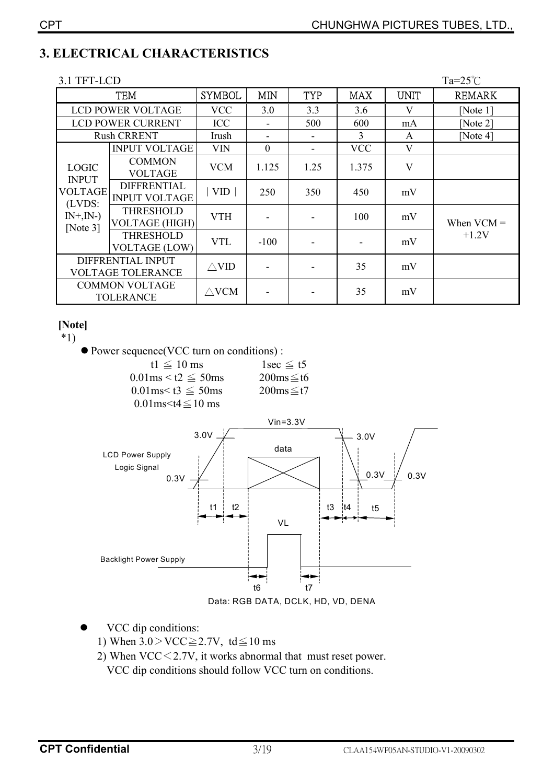# **3. ELECTRICAL CHARACTERISTICS**

| 3.1 TFT-LCD                                   |                                            |                 |                  |            |               |             | $Ta=25^{\circ}C$ |
|-----------------------------------------------|--------------------------------------------|-----------------|------------------|------------|---------------|-------------|------------------|
|                                               | <b>TEM</b>                                 | <b>SYMBOL</b>   | <b>MIN</b>       | <b>TYP</b> | <b>MAX</b>    | <b>UNIT</b> | <b>REMARK</b>    |
|                                               | <b>LCD POWER VOLTAGE</b>                   | <b>VCC</b>      | 3.0              | 3.3        | 3.6           | V           | [Note 1]         |
|                                               | <b>LCD POWER CURRENT</b>                   | <b>ICC</b>      |                  | 500        | 600           | mA          | [Note $2$ ]      |
|                                               | <b>Rush CRRENT</b>                         | Irush           | ۰                |            | $\mathcal{E}$ | A           | [Note $4$ ]      |
|                                               | <b>INPUT VOLTAGE</b>                       | <b>VIN</b>      | $\boldsymbol{0}$ |            | <b>VCC</b>    | V           |                  |
| <b>LOGIC</b><br><b>INPUT</b>                  | <b>COMMON</b><br><b>VOLTAGE</b>            | <b>VCM</b>      | 1.125            | 1.25       | 1.375         | V           |                  |
| <b>VOLTAGE</b><br>(LVDS:                      | <b>DIFFRENTIAL</b><br><b>INPUT VOLTAGE</b> | VID             | 250              | 350        | 450           | mV          |                  |
| $IN^+, IN^-)$<br>[Note $3$ ]                  | <b>THRESHOLD</b><br><b>VOLTAGE (HIGH)</b>  | <b>VTH</b>      |                  |            | 100           | mV          | When $VCM =$     |
|                                               | <b>THRESHOLD</b><br><b>VOLTAGE (LOW)</b>   | <b>VTL</b>      | $-100$           |            |               | mV          | $+1.2V$          |
| DIFFRENTIAL INPUT<br><b>VOLTAGE TOLERANCE</b> |                                            | $\triangle$ VID |                  |            | 35            | mV          |                  |
|                                               | <b>COMMON VOLTAGE</b><br><b>TOLERANCE</b>  | $\triangle$ VCM |                  |            | 35            | mV          |                  |

### [Note]

 $*1)$ 

• Power sequence(VCC turn on conditions):

| t1 $\leq$ 10 ms                  | $1$ sec $\leq$ t5       |
|----------------------------------|-------------------------|
| $0.01$ ms $\le t2 \le 50$ ms     | $200ms \leq t6$         |
| $0.01$ ms $\leq$ t3 $\leq$ 50 ms | $200 \text{ms} \leq t7$ |
| 0.01 ms $\leq$ t4 $\leq$ 10 ms   |                         |



- VCC dip conditions:  $\bullet$ 
	- 1) When  $3.0 > \text{VCC} \ge 2.7 \text{V}$ , td  $\le 10 \text{ ms}$
	- 2) When  $VCC < 2.7V$ , it works abnormal that must reset power. VCC dip conditions should follow VCC turn on conditions.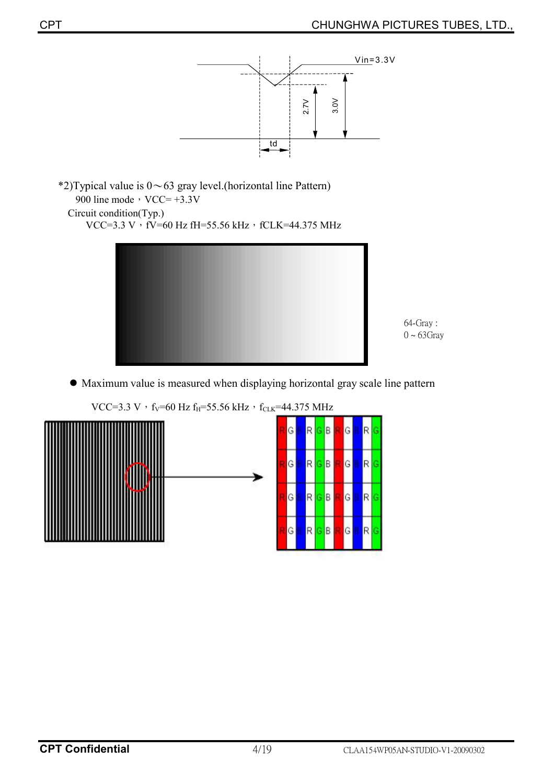





64-Gray:  $0 \sim 63$ Gray

 $\bullet$  Maximum value is measured when displaying horizontal gray scale line pattern



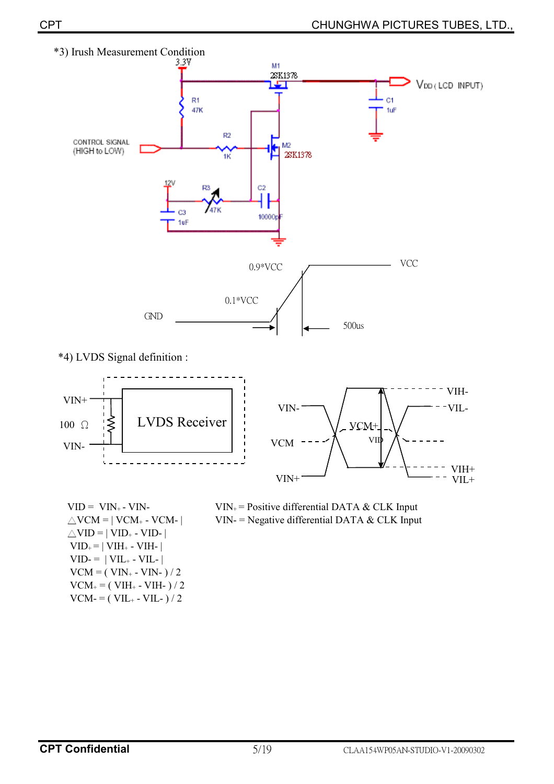

\*4) LVDS Signal definition :



 $VID = VIN_{+} - VIN_{-}$  $\triangle$ VCM = | VCM<sub>+</sub> - VCM- |  $\triangle$ VID = | VID<sub>+</sub> - VID- |  $VID_{+} = | VIH_{+} - VIH_{-} |$  $VID = | VIL_+ - VIL_-|$  $VCM = (VIN_{+} - VIN_{-})/2$  $VCM_{+} = (VIH_{+} - VIH_{-})/2$  $VCM = (VIL<sub>+</sub> - VIL<sub>-</sub>) / 2$ 

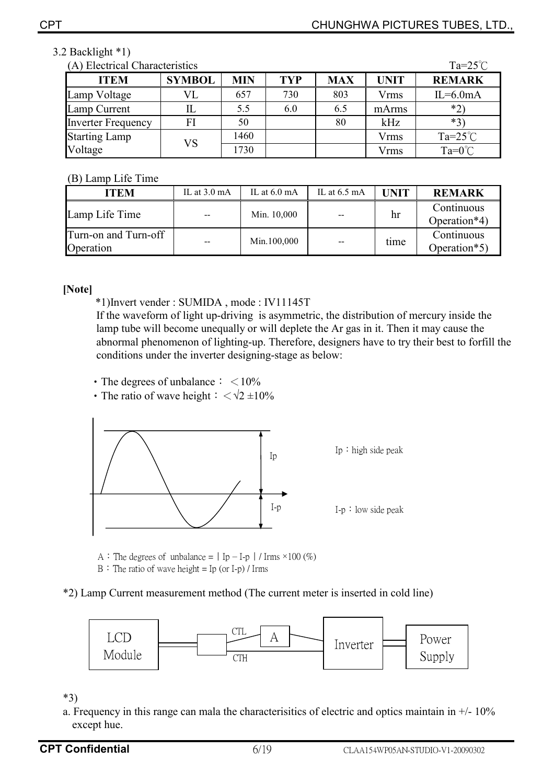### 3.2 Backlight \*1)

| Ta= $25^{\circ}$ C<br>(A) Electrical Characteristics |               |            |            |            |             |                    |  |
|------------------------------------------------------|---------------|------------|------------|------------|-------------|--------------------|--|
| <b>ITEM</b>                                          | <b>SYMBOL</b> | <b>MIN</b> | <b>TYP</b> | <b>MAX</b> | <b>UNIT</b> | <b>REMARK</b>      |  |
| Lamp Voltage                                         | VL            | 657        | 730        | 803        | Vrms        | $IL=6.0mA$         |  |
| Lamp Current                                         |               | 5.5        | 6.0        | 6.5        | mArms       | $*2$               |  |
| <b>Inverter Frequency</b>                            | FI            | 50         |            | 80         | kHz         | $*3$               |  |
| <b>Starting Lamp</b>                                 | VS            | 1460       |            |            | <b>Vrms</b> | Ta= $25^{\circ}$ C |  |
| Voltage                                              |               | 1730       |            |            | Vrms        | $Ta=0^{\circ}C$    |  |

### (B) Lamp Life Time

| <b>ITEM</b>                       | IL at $3.0 \text{ mA}$ | IL at $6.0 \text{ mA}$ | IL at $6.5 \text{ mA}$ | <b>UNIT</b> | <b>REMARK</b>              |
|-----------------------------------|------------------------|------------------------|------------------------|-------------|----------------------------|
| Lamp Life Time                    | $- -$                  | Min. 10,000            | $- -$                  | hr          | Continuous<br>Operation*4) |
| Turn-on and Turn-off<br>Operation | $- -$                  | Min.100,000            | $\qquad \qquad$        | time        | Continuous<br>Operation*5) |

**[Note]** 

\*1)Invert vender : SUMIDA , mode : IV11145T

If the waveform of light up-driving is asymmetric, the distribution of mercury inside the lamp tube will become unequally or will deplete the Ar gas in it. Then it may cause the abnormal phenomenon of lighting-up. Therefore, designers have to try their best to forfill the conditions under the inverter designing-stage as below:

• The degrees of unbalance  $\frac{1}{5}$  < 10%

• The ratio of wave height  $\frac{1}{2} < \sqrt{2} \pm 10\%$ 



A : The degrees of unbalance =  $|$  Ip - I-p  $|$  / Irms ×100 (%)  $B$  : The ratio of wave height = Ip (or I-p) / Irms

\*2) Lamp Current measurement method (The current meter is inserted in cold line)



\*3)

a. Frequency in this range can mala the characterisitics of electric and optics maintain in  $+/$ - 10% except hue.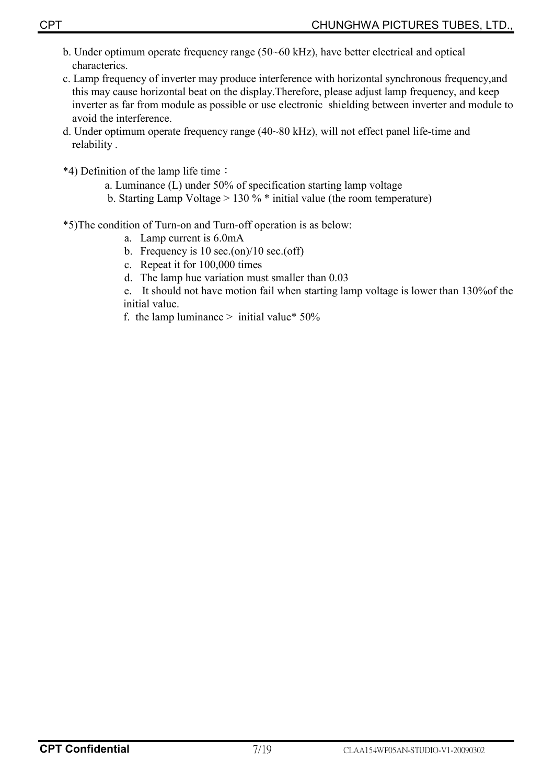- b. Under optimum operate frequency range (50~60 kHz), have better electrical and optical characterics.
- c. Lamp frequency of inverter may produce interference with horizontal synchronous frequency,and this may cause horizontal beat on the display.Therefore, please adjust lamp frequency, and keep inverter as far from module as possible or use electronic shielding between inverter and module to avoid the interference.
- d. Under optimum operate frequency range (40~80 kHz), will not effect panel life-time and relability .
- \*4) Definition of the lamp life time:
	- a. Luminance (L) under 50% of specification starting lamp voltage
	- b. Starting Lamp Voltage > 130 % \* initial value (the room temperature)
- \*5)The condition of Turn-on and Turn-off operation is as below:
	- a. Lamp current is 6.0mA
	- b. Frequency is  $10 \text{ sec.}$ (on)/ $10 \text{ sec.}$ (off)
	- c. Repeat it for 100,000 times
	- d. The lamp hue variation must smaller than 0.03
	- e. It should not have motion fail when starting lamp voltage is lower than 130%of the initial value.
	- f. the lamp luminance  $>$  initial value\* 50%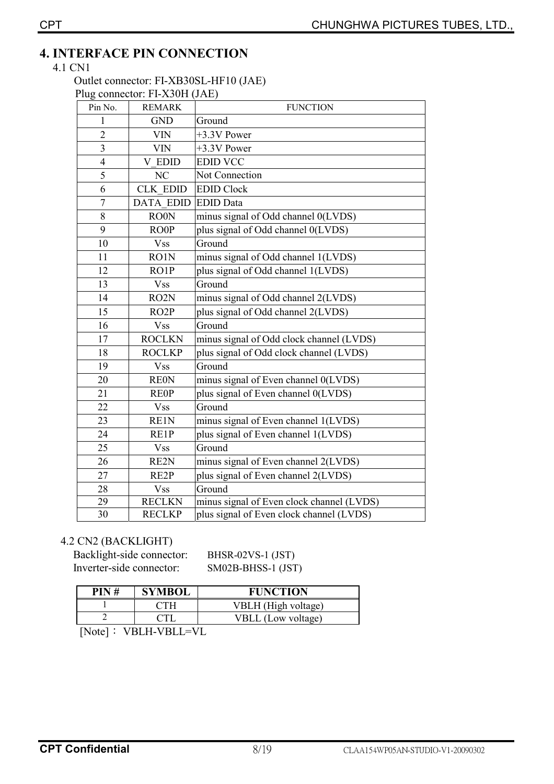# **4. INTERFACE PIN CONNECTION**

### 4.1 CN1

#### Outlet connector: FI-XB30SL-HF10 (JAE) Plug connector: FI-X30H (JAE)

| Pin No.        | $\mu$ , connector. If the one (state)<br><b>REMARK</b> | <b>FUNCTION</b>                           |
|----------------|--------------------------------------------------------|-------------------------------------------|
| 1              | <b>GND</b>                                             | Ground                                    |
| $\overline{2}$ | <b>VIN</b>                                             | +3.3V Power                               |
| $\overline{3}$ | <b>VIN</b>                                             | +3.3V Power                               |
| $\overline{4}$ | V EDID                                                 | <b>EDID VCC</b>                           |
| 5              | NC                                                     | Not Connection                            |
| 6              | <b>CLK EDID</b>                                        | <b>EDID Clock</b>                         |
| 7              | <b>DATA EDID</b>                                       | <b>EDID</b> Data                          |
| 8              | <b>RO0N</b>                                            | minus signal of Odd channel 0(LVDS)       |
| 9              | <b>ROOP</b>                                            | plus signal of Odd channel 0(LVDS)        |
| 10             | <b>Vss</b>                                             | Ground                                    |
| 11             | RO1N                                                   | minus signal of Odd channel 1(LVDS)       |
| 12             | RO1P                                                   | plus signal of Odd channel 1(LVDS)        |
| 13             | <b>Vss</b>                                             | Ground                                    |
| 14             | RO <sub>2</sub> N                                      | minus signal of Odd channel 2(LVDS)       |
| 15             | RO <sub>2</sub> P                                      | plus signal of Odd channel 2(LVDS)        |
| 16             | <b>Vss</b>                                             | Ground                                    |
| 17             | <b>ROCLKN</b>                                          | minus signal of Odd clock channel (LVDS)  |
| 18             | <b>ROCLKP</b>                                          | plus signal of Odd clock channel (LVDS)   |
| 19             | <b>Vss</b>                                             | Ground                                    |
| 20             | <b>REON</b>                                            | minus signal of Even channel 0(LVDS)      |
| 21             | <b>REOP</b>                                            | plus signal of Even channel 0(LVDS)       |
| 22             | <b>Vss</b>                                             | Ground                                    |
| 23             | RE1N                                                   | minus signal of Even channel 1(LVDS)      |
| 24             | RE1P                                                   | plus signal of Even channel 1(LVDS)       |
| 25             | <b>Vss</b>                                             | Ground                                    |
| 26             | RE2N                                                   | minus signal of Even channel 2(LVDS)      |
| 27             | RE2P                                                   | plus signal of Even channel 2(LVDS)       |
| 28             | <b>Vss</b>                                             | Ground                                    |
| 29             | <b>RECLKN</b>                                          | minus signal of Even clock channel (LVDS) |
| 30             | <b>RECLKP</b>                                          | plus signal of Even clock channel (LVDS)  |

### 4.2 CN2 (BACKLIGHT)

Backlight-side connector: BHSR-02VS-1 (JST)<br>Inverter-side connector: SM02B-BHSS-1 (JST)

SM02B-BHSS-1 (JST)

| PIN# | <b>SYMBOL</b>                                                                                                                                                            | <b>FUNCTION</b>           |  |  |  |  |  |  |
|------|--------------------------------------------------------------------------------------------------------------------------------------------------------------------------|---------------------------|--|--|--|--|--|--|
|      |                                                                                                                                                                          | VBLH (High voltage)       |  |  |  |  |  |  |
|      |                                                                                                                                                                          | <b>VBLL</b> (Low voltage) |  |  |  |  |  |  |
|      | $\mathbf{N}$ $\mathbf{L}$ $\mathbf{L}$ $\mathbf{L}$ $\mathbf{N}$ $\mathbf{N}$ $\mathbf{N}$ $\mathbf{N}$ $\mathbf{N}$ $\mathbf{N}$ $\mathbf{N}$ $\mathbf{N}$ $\mathbf{N}$ |                           |  |  |  |  |  |  |

 $[Note] : VBLH-VBLL=VL$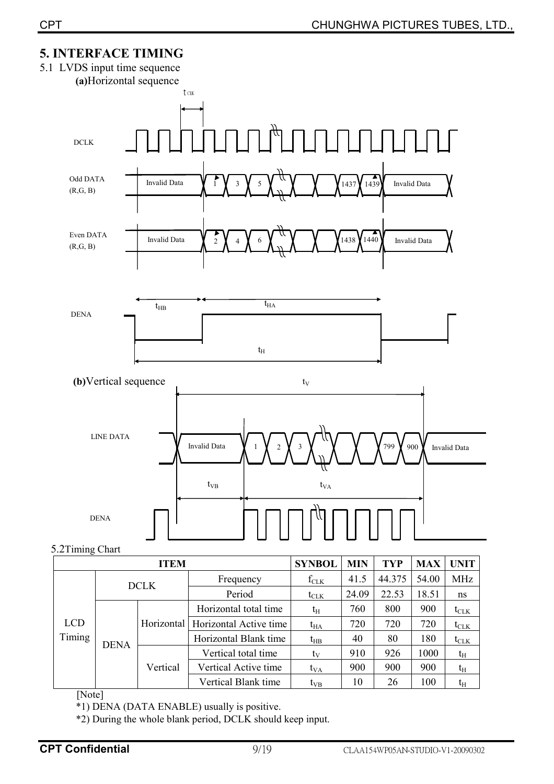# **5. INTERFACE TIMING**



|            |             | <b>DCLK</b>          | <b>Frequency</b>                    | $I_{CLK}$        | 41. <sub>2</sub> | 44.3/3 | <b>24.00</b> | MHZ              |
|------------|-------------|----------------------|-------------------------------------|------------------|------------------|--------|--------------|------------------|
|            |             |                      | Period                              | $t_{\text{CLK}}$ | 24.09            | 22.53  | 18.51        | ns               |
|            |             |                      | Horizontal total time               | $t_{\rm H}$      | 760              | 800    | 900          | $t_{\text{CLK}}$ |
| <b>LCD</b> |             |                      | Horizontal   Horizontal Active time | $t_{HA}$         | 720              | 720    | 720          | $t_{\text{CLK}}$ |
| Timing     | <b>DENA</b> |                      | Horizontal Blank time               | $t_{HB}$         | 40               | 80     | 180          | $t_{CLK}$        |
|            |             |                      | Vertical total time                 | tv               | 910              | 926    | 1000         | $t_{\rm H}$      |
|            | Vertical    | Vertical Active time | $t_{VA}$                            | 900              | 900              | 900    | $t_{\rm H}$  |                  |
|            |             |                      | Vertical Blank time                 | $t_{VB}$         | 10               | 26     | 100          | $\mathrm{t_{H}}$ |

[Note]

\*1) DENA (DATA ENABLE) usually is positive.

\*2) During the whole blank period, DCLK should keep input.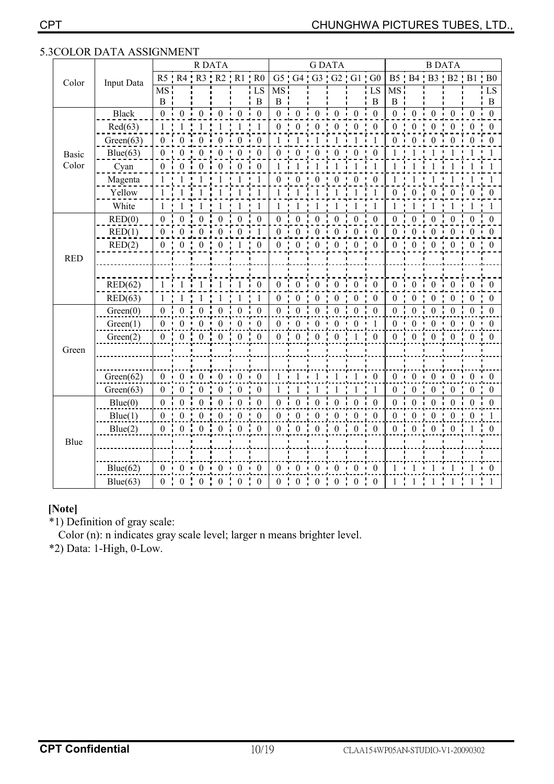|              |              |                  |                  |                                  | <b>R DATA</b>    |                                   |                         |                 |                  |                   | <b>GDATA</b>                                   |                   |                         |                 |                  | <b>B DATA</b>   |                   |                                  |                |
|--------------|--------------|------------------|------------------|----------------------------------|------------------|-----------------------------------|-------------------------|-----------------|------------------|-------------------|------------------------------------------------|-------------------|-------------------------|-----------------|------------------|-----------------|-------------------|----------------------------------|----------------|
| Color        | Input Data   |                  |                  |                                  |                  | R5 R4 R3 R2 R1 R0                 |                         |                 |                  | G5 G4 G3 G2 G1 G0 |                                                |                   |                         |                 |                  |                 | B5 B4 B3 B2 B1 B0 |                                  |                |
|              |              | MS:              |                  |                                  |                  |                                   | LS                      | MS <sup>1</sup> |                  |                   |                                                |                   | ${\rm LS}$              | MS.             |                  |                 |                   |                                  | ${\rm LS}$     |
|              |              | $\bf{B}$         |                  |                                  |                  |                                   | B                       | $\, {\bf B}$    |                  |                   |                                                |                   | $\bf{B}$                | $B$ :           |                  |                 |                   |                                  | $\bf{B}$       |
|              | <b>Black</b> | 0 <sub>i</sub>   | 0 <sub>1</sub>   | $\overline{0}$                   | $\cdot$ 0        | $\cdot$ 0                         | $\overline{0}$          | $0-1$           | $\boldsymbol{0}$ | $\mathbf{0}$      | $\boldsymbol{0}$                               | $\cdot$ 0         | $\overline{\mathbf{0}}$ | $0$ i           | $\bf{0}$         | $\Omega$        | $\boldsymbol{0}$  | $\theta$                         | $\mathbf{0}$   |
|              | Red(63)      | $\mathbf{1}$     |                  |                                  |                  |                                   |                         | $\theta$        | $\theta$         | 0                 | $\Omega$                                       | $\overline{0}$    | $\theta$                | $\Omega$        | 0                | 0               | $\theta$          | 0                                | $\Omega$       |
|              | Green(63)    | $\mathbf{0}$     | $\Omega$         | $\Omega$                         | $\theta$         | $\Omega$                          | $\Omega$                | $\mathbf{1}$    |                  |                   |                                                | $\mathbf{1}$      | $\overline{1}$          | 0 <sub>i</sub>  | $\Omega$         |                 | $\Omega$          |                                  |                |
| <b>Basic</b> | Blue(63)     | $\boldsymbol{0}$ |                  |                                  |                  | $\Omega$                          | $\boldsymbol{0}$        | $\theta$        | $\theta$         |                   | 0                                              | $\theta$          | $\theta$                |                 |                  |                 |                   |                                  |                |
| Color        | Cyan         | $\theta$         | 0                |                                  | 0                | $\Omega$                          | $\Omega$                |                 |                  |                   |                                                |                   |                         |                 |                  |                 |                   |                                  |                |
|              | Magenta      | $\mathbf{1}$     |                  |                                  |                  |                                   | $\overline{1}$          | $\Omega$        |                  | $\theta$          |                                                | $\boldsymbol{0}$  | $\mathbf{0}$            |                 |                  |                 |                   |                                  |                |
|              | Yellow       | $\mathbf{1}$     |                  |                                  |                  | 1                                 | $\mathbf{1}$            | $\mathbf{1}$    |                  |                   |                                                |                   | $\overline{1}$          | $\Omega$        | $\mathbf{0}$     | $\theta$        | $\mathbf{0}$      | $\theta$                         | $\theta$       |
|              | White        | 1                |                  |                                  |                  |                                   | 1                       |                 |                  |                   |                                                |                   |                         |                 |                  |                 |                   |                                  |                |
|              | RED(0)       | $\boldsymbol{0}$ | $\theta$         | $\bf{0}$                         | $\theta$         | $\theta$                          | $\theta$                | $\theta$        | $\theta$         | 0                 | $\theta$                                       | $\theta$          | $\mathbf{0}$            | 0               | $\overline{0}$   |                 | 0                 |                                  | $\Omega$       |
|              | RED(1)       | $\boldsymbol{0}$ | $\theta$         | $\Omega$                         |                  | $\Omega$                          |                         | $\Omega$        |                  |                   | $\Omega$                                       | $\theta$          | $\mathbf{0}$            | 0 <sub>1</sub>  |                  |                 | $\theta$          |                                  |                |
|              | RED(2)       | $\boldsymbol{0}$ | $\Omega$         |                                  |                  |                                   | $\theta$                | $\Omega$        | 0                | 0                 | 0                                              | 0                 | $\Omega$                | 0               | 0                | 0               | $\theta$          |                                  |                |
| <b>RED</b>   |              |                  |                  |                                  |                  |                                   |                         |                 |                  |                   |                                                |                   |                         |                 |                  |                 |                   |                                  |                |
|              |              |                  |                  |                                  |                  |                                   |                         |                 |                  |                   |                                                |                   |                         |                 |                  |                 |                   |                                  |                |
|              | RED(62)      | $\mathbf{1}$     |                  |                                  |                  |                                   | $\overline{\mathbf{0}}$ | 0 <sub>i</sub>  | $\overline{0}$ i | $\boldsymbol{0}$  | $\overline{0}$                                 | $\mathbf{0}$      | $\overline{0}$          | 0 <sup>1</sup>  | $\theta$         | $\Omega$        | $\mathbf{0}$      | $\theta$                         | - 0            |
|              | RED(63)      | $\mathbf{1}$     | 1                |                                  |                  | 1                                 | 1                       | $\mathbf{0}$    | $\boldsymbol{0}$ | 0                 | $\theta$                                       | $\boldsymbol{0}$  | $\boldsymbol{0}$        | $\overline{0}$  | $\mathbf{0}$     | $\Omega$        | $\boldsymbol{0}$  | $\Omega$                         | $\theta$       |
|              | Green(0)     | 0 <sup>1</sup>   | $\theta$         | $\mathbf{0}$                     | $\theta$         | $\theta$                          | $\theta$                | 0 <sup>1</sup>  | $\mathbf{0}$     | $\boldsymbol{0}$  | $\theta$                                       | $\mathbf{0}$      | $\mathbf{0}$            | 0 <sup>1</sup>  | $\boldsymbol{0}$ | $\theta$        | $\theta$          | $\theta$                         | $\theta$       |
|              | Green(1)     | $\boldsymbol{0}$ | $\Omega$         | $\overline{0}$                   | $\overline{0}$   | $\theta$                          | $\theta$                | $\Omega$        | $\mathbf{0}$     | $\theta$          | $\theta$                                       | $\theta$          | $\overline{1}$          | 0 <sub>1</sub>  | $\boldsymbol{0}$ | $\theta$        | $\theta$          | $\theta$                         | $\overline{0}$ |
|              | Green(2)     | $\mathbf{0}$     | 0:               | $\begin{matrix}0\\0\end{matrix}$ | $\overline{0}$   | $0 \t 0$                          |                         | 0 <sup>1</sup>  | $\overline{0}$   | $\mathbf{0}$      | $\begin{smallmatrix}0&1\\0&1\end{smallmatrix}$ | $\overline{1}$    | $\overline{0}$          | 0 <sup>1</sup>  |                  | $0 \t 0 \t 0$   | $\overline{0}$    | $\begin{matrix}0\\1\end{matrix}$ | $\overline{0}$ |
| Green        |              |                  |                  |                                  |                  |                                   |                         |                 |                  |                   |                                                |                   |                         |                 |                  |                 |                   |                                  |                |
|              |              |                  |                  |                                  |                  |                                   |                         |                 |                  |                   |                                                |                   |                         |                 |                  |                 |                   |                                  |                |
|              | Green(62)    | $0 -$            | $\Omega$         | $\blacksquare$ 0                 | $\cdot$ 0        | $\blacksquare$ 0                  | $\overline{0}$          |                 |                  |                   |                                                |                   | $\overline{0}$          | $0 -$           | $\Omega$         | $0 -$           | $\theta$          | 0 <sub>1</sub>                   | $\theta$       |
|              | Green(63)    | $\mathbf{0}$     | $\Omega$         | $\theta$                         | 0                | $\theta$                          | $\boldsymbol{0}$        | 1               |                  |                   |                                                |                   |                         | $\overline{0}$  | $\Omega$         | $\theta$        | $\theta$          | $\Omega$                         | $\theta$       |
|              | Blue(0)      | $\mathbf{0}$     | $\Omega$         | $\Omega$                         | $\Omega$         | $\Omega$                          | $\Omega$                | $\theta$        | $\Omega$         | $\Omega$          |                                                | $\theta$          | $\Omega$                | 0 <sup>1</sup>  | $\Omega$         |                 | $\Omega$          |                                  | 0              |
|              | Blue(1)      | $\boldsymbol{0}$ | $\overline{0}$   | $\mathbf{0}$                     | $\boldsymbol{0}$ | $\cdot$ 0                         | $\overline{0}$          | $\Omega$        | $\mathbf{0}$     | $\mathbf{0}$      | $\theta$                                       | $\boldsymbol{0}$  | $\overline{0}$          | 0 <sup>1</sup>  | $\overline{0}$   | $\overline{0}$  | $\overline{0}$    | $\Omega$                         |                |
|              | Blue(2)      | $0 \cdot$        | $\theta$         | $\frac{1}{2}$ 0                  | $\frac{1}{2}$ 0  | $\begin{array}{cc} 0 \end{array}$ | $\frac{1}{2}$ 0         | 0               | $\theta$         | $\theta$          | $\frac{1}{2}$ 0                                | $\mathbf{0}$<br>÷ | $\theta$                | $0 \quad 1$     | $\overline{0}$   | $\frac{1}{2}$ 0 | $\boldsymbol{0}$  | $\mathbf{1}$                     | $\cdot$ 0      |
| Blue         |              |                  |                  |                                  |                  |                                   |                         |                 |                  |                   |                                                |                   |                         |                 |                  |                 |                   |                                  |                |
|              |              |                  |                  |                                  |                  |                                   |                         |                 |                  |                   |                                                |                   |                         |                 |                  |                 |                   |                                  |                |
|              | Blue(62)     | $\overline{0}$   | 0 <sub>1</sub>   | $\overline{0}$                   | $\cdot$ 0        | $\mathbf{0}$                      | $\overline{0}$          | 0 <sub>1</sub>  | $\overline{0}$   | $\theta$          | $\theta$                                       | $\boldsymbol{0}$  | $\overline{0}$          |                 |                  |                 |                   |                                  | - 0            |
|              | Blue(63)     | $\boldsymbol{0}$ | $\boldsymbol{0}$ | $\boldsymbol{0}$                 | $\boldsymbol{0}$ | $\boldsymbol{0}$                  | $\boldsymbol{0}$        | $\theta$        | $\theta$         | $\theta$          | $\theta$                                       | $\theta$          | $\theta$                | $1 \frac{1}{2}$ | 1                |                 | 1                 |                                  |                |

### 5.3COLOR DATA ASSIGNMENT

## **[Note]**

\*1) Definition of gray scale:

Color (n): n indicates gray scale level; larger n means brighter level.

\*2) Data: 1-High, 0-Low.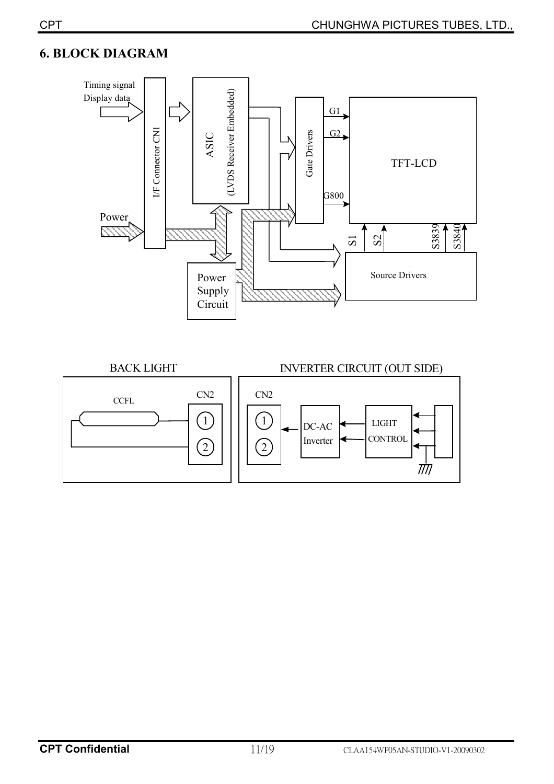# **6. BLOCK DIAGRAM**



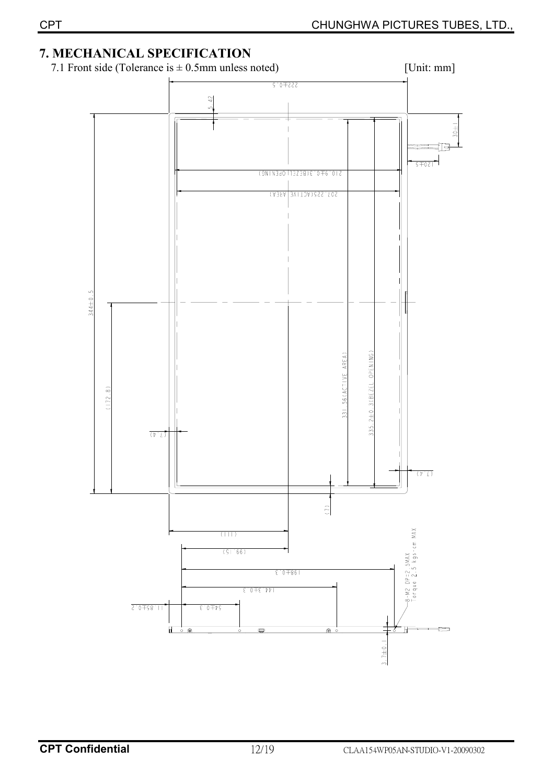# **7. MECHANICAL SPECIFICATION**



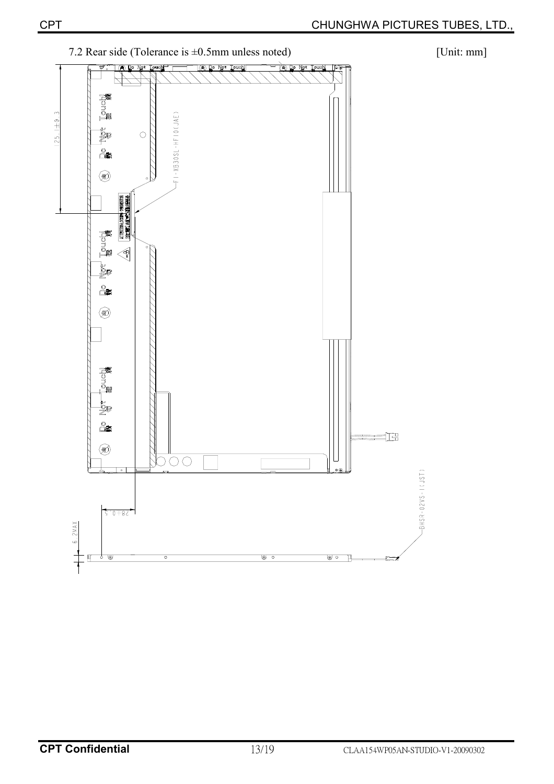

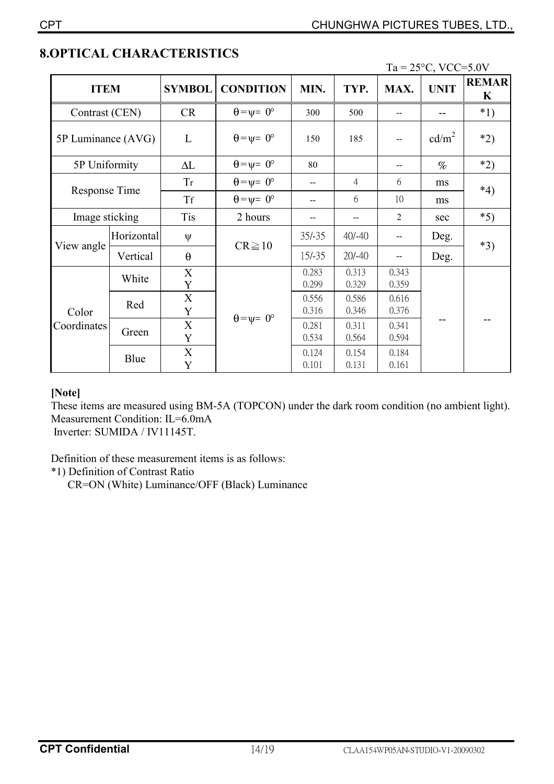| <b>ITEM</b>          |            | <b>SYMBOL</b> | <b>CONDITION</b>            | MIN.           | TYP.           | MAX.           | <b>UNIT</b>       | <b>REMAR</b><br>K |  |
|----------------------|------------|---------------|-----------------------------|----------------|----------------|----------------|-------------------|-------------------|--|
| Contrast (CEN)       |            | <b>CR</b>     | $\theta = \psi = 0^{\circ}$ | 300            | 500            |                |                   | $*1)$             |  |
| 5P Luminance (AVG)   |            | L             | $\theta = \psi = 0^{\circ}$ | 150            | 185            |                | cd/m <sup>2</sup> | $*2)$             |  |
| 5P Uniformity        |            | $\Delta L$    | $\theta = \psi = 0^{\circ}$ | 80             |                |                | $\%$              | $*2)$             |  |
|                      |            | Tr            | $\theta = \psi = 0^{\circ}$ |                | 4              | 6              | ms                | $*4)$             |  |
| Response Time        |            | <b>Tf</b>     | $\theta = \psi = 0^{\circ}$ |                | 6              | 10             | ms                |                   |  |
| Image sticking       |            | <b>Tis</b>    | 2 hours                     | $-$            | $-$            | $\overline{2}$ | sec               | $*5)$             |  |
|                      | Horizontal | ψ             | $CR \ge 10$                 | $35/-35$       | $40/-40$       | --             | Deg.              | $*3)$             |  |
| View angle           | Vertical   | $\theta$      |                             | $15/-35$       | $20/-40$       |                | Deg.              |                   |  |
|                      | White      | X<br>Y        |                             | 0.283<br>0.299 | 0.313<br>0.329 | 0.343<br>0.359 |                   |                   |  |
| Color<br>Coordinates | Red        | X<br>Y        |                             | 0.556<br>0.316 | 0.586<br>0.346 | 0.616<br>0.376 |                   |                   |  |
|                      | Green      | X<br>Y        | $\theta = \psi = 0^{\circ}$ | 0.281<br>0.534 | 0.311<br>0.564 | 0.341<br>0.594 |                   |                   |  |
|                      | Blue       | X<br>Y        |                             | 0.124<br>0.101 | 0.154<br>0.131 | 0.184<br>0.161 |                   |                   |  |

# **8.OPTICAL CHARACTERISTICS**

 $Ta = 25^{\circ}C$ , VCC=5.0V

### **[Note]**

These items are measured using BM-5A (TOPCON) under the dark room condition (no ambient light). Measurement Condition: IL=6.0mA Inverter: SUMIDA / IV11145T.

Definition of these measurement items is as follows:

\*1) Definition of Contrast Ratio

CR=ON (White) Luminance/OFF (Black) Luminance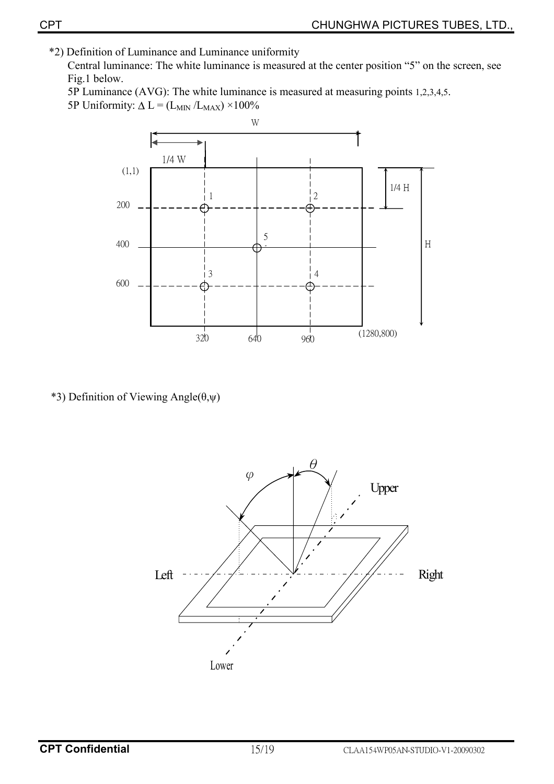\*2) Definition of Luminance and Luminance uniformity

Central luminance: The white luminance is measured at the center position "5" on the screen, see Fig.1 below.

5P Luminance (AVG): The white luminance is measured at measuring points 1,2,3,4,5. 5P Uniformity:  $\Delta L = (L_{MIN}/L_{MAX}) \times 100\%$ 



\*3) Definition of Viewing Angle $(\theta, \psi)$ 

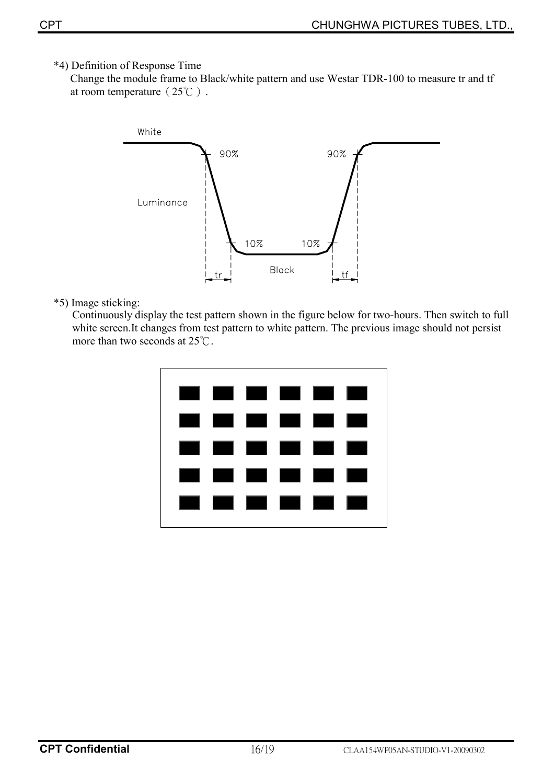\*4) Definition of Response Time

 Change the module frame to Black/white pattern and use Westar TDR-100 to measure tr and tf at room temperature  $(25^{\circ}\text{C})$ .



\*5) Image sticking:

Continuously display the test pattern shown in the figure below for two-hours. Then switch to full white screen.It changes from test pattern to white pattern. The previous image should not persist more than two seconds at  $25^{\circ}$ C.

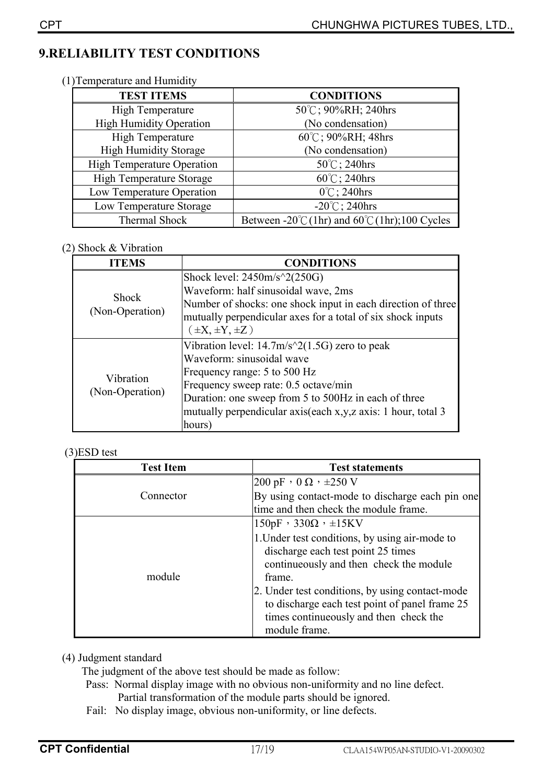# **9.RELIABILITY TEST CONDITIONS**

(1)Temperature and Humidity

| <b>TEST ITEMS</b>                 | <b>CONDITIONS</b>                                               |
|-----------------------------------|-----------------------------------------------------------------|
| <b>High Temperature</b>           | 50°C; 90%RH; 240hrs                                             |
| <b>High Humidity Operation</b>    | (No condensation)                                               |
| <b>High Temperature</b>           | 60°C; 90%RH; 48hrs                                              |
| <b>High Humidity Storage</b>      | (No condensation)                                               |
| <b>High Temperature Operation</b> | 50°C; 240hrs                                                    |
| High Temperature Storage          | $60^{\circ}$ C; 240hrs                                          |
| Low Temperature Operation         | $0^{\circ}$ C; 240hrs                                           |
| Low Temperature Storage           | $-20^{\circ}$ C; 240hrs                                         |
| Thermal Shock                     | Between -20 $\degree$ C(1hr) and 60 $\degree$ C(1hr);100 Cycles |

### (2) Shock & Vibration

| <b>ITEMS</b>                    | <b>CONDITIONS</b>                                                |
|---------------------------------|------------------------------------------------------------------|
| <b>Shock</b><br>(Non-Operation) | Shock level: $2450m/s^2(250G)$                                   |
|                                 | Waveform: half sinusoidal wave, 2ms                              |
|                                 | Number of shocks: one shock input in each direction of three     |
|                                 | mutually perpendicular axes for a total of six shock inputs      |
|                                 | $(\pm X, \pm Y, \pm Z)$                                          |
| Vibration<br>(Non-Operation)    | Vibration level: $14.7 \text{m/s}^2 (1.5 \text{G})$ zero to peak |
|                                 | Waveform: sinusoidal wave                                        |
|                                 | Frequency range: 5 to 500 Hz                                     |
|                                 | Frequency sweep rate: 0.5 octave/min                             |
|                                 | Duration: one sweep from 5 to 500Hz in each of three             |
|                                 | mutually perpendicular axis(each x,y,z axis: 1 hour, total 3     |
|                                 | hours)                                                           |

### (3)ESD test

| <b>Test Item</b> | <b>Test statements</b>                          |
|------------------|-------------------------------------------------|
|                  | 200 pF $\cdot$ 0 $\Omega$ $\cdot$ $\pm$ 250 V   |
| Connector        | By using contact-mode to discharge each pin one |
|                  | time and then check the module frame.           |
|                  | $150pF$ , $330\Omega$ , $\pm 15KV$              |
|                  | 1. Under test conditions, by using air-mode to  |
|                  | discharge each test point 25 times              |
|                  | continueously and then check the module         |
| module           | frame.                                          |
|                  | 2. Under test conditions, by using contact-mode |
|                  | to discharge each test point of panel frame 25  |
|                  | times continueously and then check the          |
|                  | module frame.                                   |

### (4) Judgment standard

The judgment of the above test should be made as follow:

- Pass: Normal display image with no obvious non-uniformity and no line defect. Partial transformation of the module parts should be ignored.
- Fail: No display image, obvious non-uniformity, or line defects.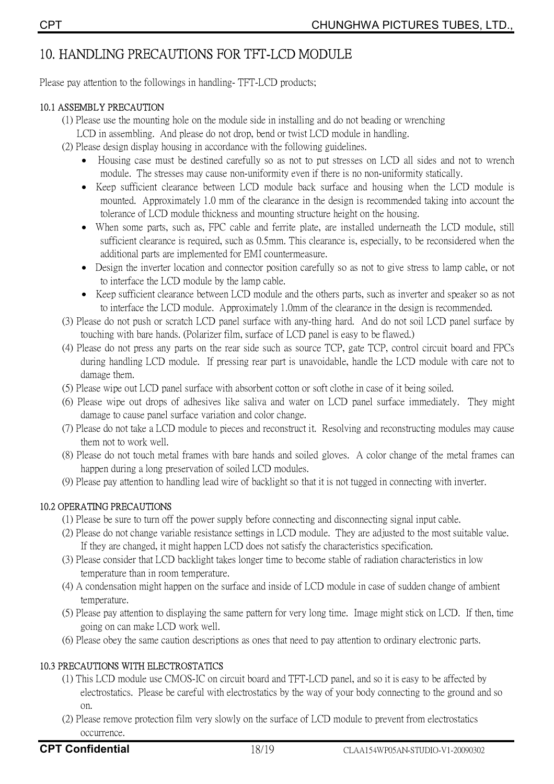# 10. HANDLING PRECAUTIONS FOR TFT-LCD MODULE

Please pay attention to the followings in handling-TFT-LCD products;

### 10.1 ASSEMBLY PRECAUTION

- (1) Please use the mounting hole on the module side in installing and do not beading or wrenching
	- LCD in assembling. And please do not drop, bend or twist LCD module in handling.
- (2) Please design display housing in accordance with the following guidelines.
	- Housing case must be destined carefully so as not to put stresses on LCD all sides and not to wrench module. The stresses may cause non-uniformity even if there is no non-uniformity statically.
	- Keep sufficient clearance between LCD module back surface and housing when the LCD module is mounted. Approximately 1.0 mm of the clearance in the design is recommended taking into account the tolerance of LCD module thickness and mounting structure height on the housing.
	- When some parts, such as, FPC cable and ferrite plate, are installed underneath the LCD module, still sufficient clearance is required, such as 0.5mm. This clearance is, especially, to be reconsidered when the additional parts are implemented for EMI countermeasure.
	- Design the inverter location and connector position carefully so as not to give stress to lamp cable, or not to interface the LCD module by the lamp cable.
	- Keep sufficient clearance between LCD module and the others parts, such as inverter and speaker so as not to interface the LCD module. Approximately 1.0mm of the clearance in the design is recommended.
- (3) Please do not push or scratch LCD panel surface with any-thing hard. And do not soil LCD panel surface by touching with bare hands. (Polarizer film, surface of LCD panel is easy to be flawed.)
- (4) Please do not press any parts on the rear side such as source TCP, gate TCP, control circuit board and FPCs during handling LCD module. If pressing rear part is unavoidable, handle the LCD module with care not to damage them.
- (5) Please wipe out LCD panel surface with absorbent cotton or soft clothe in case of it being soiled.
- (6) Please wipe out drops of adhesives like saliva and water on LCD panel surface immediately. They might damage to cause panel surface variation and color change.
- (7) Please do not take a LCD module to pieces and reconstruct it. Resolving and reconstructing modules may cause them not to work well.
- (8) Please do not touch metal frames with bare hands and soiled gloves. A color change of the metal frames can happen during a long preservation of soiled LCD modules.
- (9) Please pay attention to handling lead wire of backlight so that it is not tugged in connecting with inverter.

### **10.2 OPERATING PRECAUTIONS**

- (1) Please be sure to turn off the power supply before connecting and disconnecting signal input cable.
- (2) Please do not change variable resistance settings in LCD module. They are adjusted to the most suitable value. If they are changed, it might happen LCD does not satisfy the characteristics specification.
- (3) Please consider that LCD backlight takes longer time to become stable of radiation characteristics in low temperature than in room temperature.
- (4) A condensation might happen on the surface and inside of LCD module in case of sudden change of ambient temperature.
- (5) Please pay attention to displaying the same pattern for very long time. Image might stick on LCD. If then, time going on can make LCD work well.
- (6) Please obey the same caution descriptions as ones that need to pay attention to ordinary electronic parts.

### 10.3 PRECAUTIONS WITH ELECTROSTATICS

- (1) This LCD module use CMOS-IC on circuit board and TFT-LCD panel, and so it is easy to be affected by electrostatics. Please be careful with electrostatics by the way of your body connecting to the ground and so  $on$
- (2) Please remove protection film very slowly on the surface of LCD module to prevent from electrostatics occurrence.